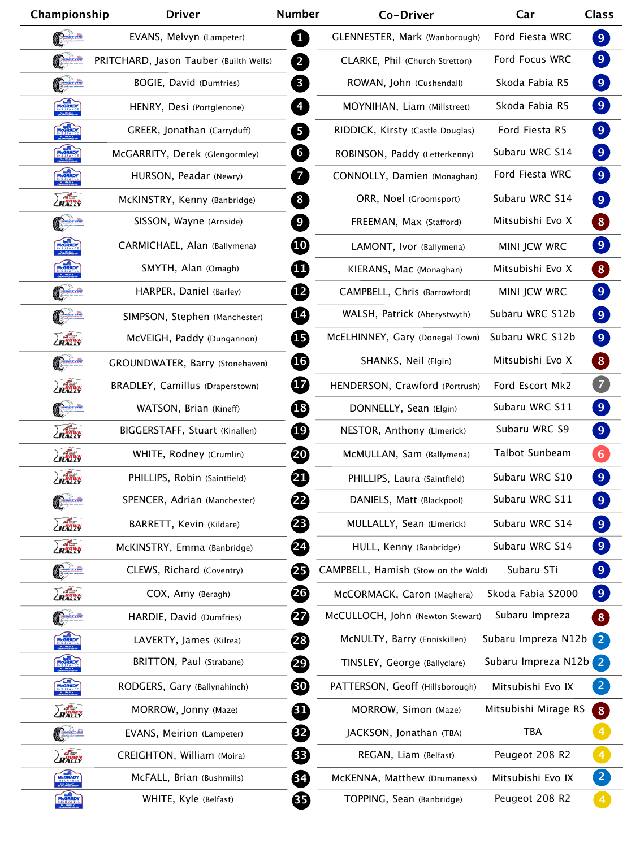| Championship    | <b>Driver</b>                          | <b>Number</b>                           | Co-Driver                           | Car                  | <b>Class</b>                   |
|-----------------|----------------------------------------|-----------------------------------------|-------------------------------------|----------------------|--------------------------------|
|                 | EVANS, Melvyn (Lampeter)               | $\mathbf{1}$                            | GLENNESTER, Mark (Wanborough)       | Ford Fiesta WRC      | 9                              |
|                 | PRITCHARD, Jason Tauber (Builth Wells) | $\overline{2}$                          | CLARKE, Phil (Church Stretton)      | Ford Focus WRC       | 9                              |
|                 | BOGIE, David (Dumfries)                | $\mathbf{3}$                            | ROWAN, John (Cushendall)            | Skoda Fabia R5       | $\boxed{9}$                    |
| MCGRADY         | HENRY, Desi (Portglenone)              | $\overline{4}$                          | MOYNIHAN, Liam (Millstreet)         | Skoda Fabia R5       | $\boxed{9}$                    |
| MCGRADY         | GREER, Jonathan (Carryduff)            | $5\overline{)}$                         | RIDDICK, Kirsty (Castle Douglas)    | Ford Fiesta R5       | $\boxed{9}$                    |
| MCGRADY         | McGARRITY, Derek (Glengormley)         | 6                                       | ROBINSON, Paddy (Letterkenny)       | Subaru WRC S14       | $\boxed{9}$                    |
| MCGRADY         | HURSON, Peadar (Newry)                 | $\overline{7}$                          | CONNOLLY, Damien (Monaghan)         | Ford Fiesta WRC      | $\boxed{9}$                    |
| ZRAGWN          | McKINSTRY, Kenny (Banbridge)           | 8                                       | ORR, Noel (Groomsport)              | Subaru WRC S14       | $\boxed{9}$                    |
|                 | SISSON, Wayne (Arnside)                | $\overline{9}$                          | FREEMAN, Max (Stafford)             | Mitsubishi Evo X     | $\vert 8 \rangle$              |
| MCGRADY         | CARMICHAEL, Alan (Ballymena)           | $\boldsymbol{\boldsymbol{\text{(10)}}}$ | LAMONT, Ivor (Ballymena)            | MINI JCW WRC         | $\boxed{9}$                    |
| MCGRADY         | SMYTH, Alan (Omagh)                    | ⊕                                       | KIERANS, Mac (Monaghan)             | Mitsubishi Evo X     | $\vert 8 \rangle$              |
|                 | HARPER, Daniel (Barley)                | $\mathbf{12}$                           | CAMPBELL, Chris (Barrowford)        | MINI JCW WRC         | $\boxed{9}$                    |
|                 | SIMPSON, Stephen (Manchester)          | $\mathbf{E}$                            | WALSH, Patrick (Aberystwyth)        | Subaru WRC S12b      | $\boxed{9}$                    |
| RATIVN          | McVEIGH, Paddy (Dungannon)             | ⊕                                       | McELHINNEY, Gary (Donegal Town)     | Subaru WRC S12b      | $\boxed{9}$                    |
|                 | GROUNDWATER, Barry (Stonehaven)        | (16)                                    | SHANKS, Neil (Elgin)                | Mitsubishi Evo X     | $\vert 8 \rangle$              |
| RATIVN          | BRADLEY, Camillus (Draperstown)        | $\mathbf{17}$                           | HENDERSON, Crawford (Portrush)      | Ford Escort Mk2      | $\overline{7}$                 |
| <b>Contract</b> | WATSON, Brian (Kineff)                 | <b>18</b>                               | DONNELLY, Sean (Elgin)              | Subaru WRC S11       | $\bullet$                      |
| RAGINA          | BIGGERSTAFF, Stuart (Kinallen)         | 19                                      | NESTOR, Anthony (Limerick)          | Subaru WRC S9        | $\boxed{9}$                    |
| ZRAGWN          | WHITE, Rodney (Crumlin)                | 20                                      | McMULLAN, Sam (Ballymena)           | Talbot Sunbeam       | $6 \overline{6}$               |
| ZRAGWN          | PHILLIPS, Robin (Saintfield)           | 21                                      | PHILLIPS, Laura (Saintfield)        | Subaru WRC S10       | $\overline{9}$                 |
|                 | SPENCER, Adrian (Manchester)           | 22)                                     | DANIELS, Matt (Blackpool)           | Subaru WRC S11       | $\boxed{9}$                    |
| ZRAGUN          | BARRETT, Kevin (Kildare)               | 23                                      | MULLALLY, Sean (Limerick)           | Subaru WRC S14       | $\boxed{9}$                    |
| ZRAGUN          | McKINSTRY, Emma (Banbridge)            | 24                                      | HULL, Kenny (Banbridge)             | Subaru WRC S14       | 9                              |
| Court           | CLEWS, Richard (Coventry)              | 25                                      | CAMPBELL, Hamish (Stow on the Wold) | Subaru STi           | $\boxed{9}$                    |
| ZRAČIVN         | COX, Amy (Beragh)                      | 26                                      | McCORMACK, Caron (Maghera)          | Skoda Fabia S2000    | $\boxed{9}$                    |
|                 | HARDIE, David (Dumfries)               | 27                                      | McCULLOCH, John (Newton Stewart)    | Subaru Impreza       | $\left  \text{8}\right\rangle$ |
| MCGRADY         | LAVERTY, James (Kilrea)                | 28                                      | McNULTY, Barry (Enniskillen)        | Subaru Impreza N12b  | $\overline{2}$                 |
| MCGRADY         | BRITTON, Paul (Strabane)               | 29                                      | TINSLEY, George (Ballyclare)        | Subaru Impreza N12b  | $\overline{2}$                 |
| MCGRADY         | RODGERS, Gary (Ballynahinch)           | 30                                      | PATTERSON, Geoff (Hillsborough)     | Mitsubishi Evo IX    | $\overline{2}$                 |
| ZRADUN          | MORROW, Jonny (Maze)                   | 四                                       | MORROW, Simon (Maze)                | Mitsubishi Mirage RS | 8 <sup>1</sup>                 |
| Cedita          | EVANS, Meirion (Lampeter)              | 82                                      | JACKSON, Jonathan (TBA)             | <b>TBA</b>           |                                |
| ZRAČIVN         | CREIGHTON, William (Moira)             | 83                                      | REGAN, Liam (Belfast)               | Peugeot 208 R2       | $\overline{4}$                 |
| MCGRADY         | McFALL, Brian (Bushmills)              | 34)                                     | McKENNA, Matthew (Drumaness)        | Mitsubishi Evo IX    | $\overline{2}$                 |
| MCGRADY         | WHITE, Kyle (Belfast)                  | 85                                      | TOPPING, Sean (Banbridge)           | Peugeot 208 R2       |                                |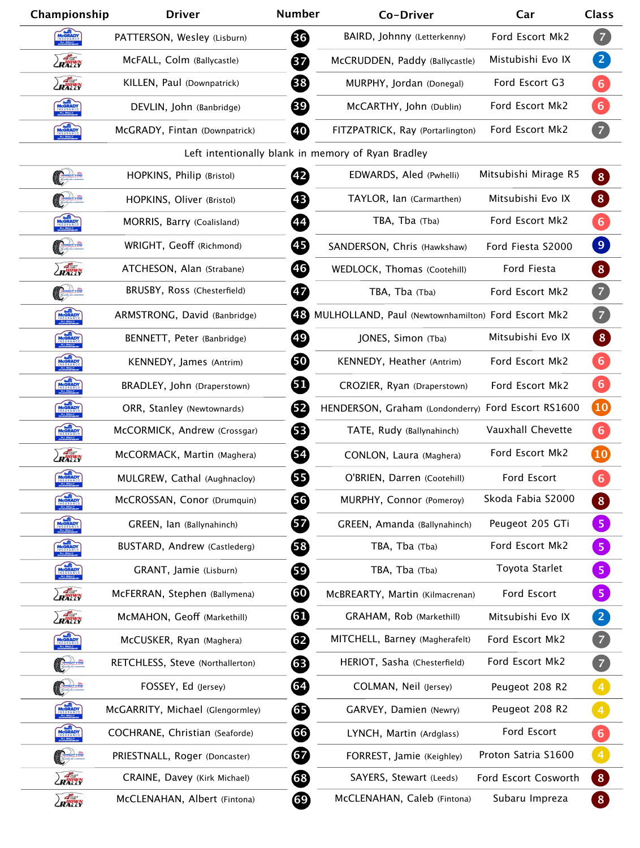| Championship          | <b>Driver</b>                    | <b>Number</b> | Co-Driver                                          | Car                  | <b>Class</b>     |
|-----------------------|----------------------------------|---------------|----------------------------------------------------|----------------------|------------------|
| MCGRADY               | PATTERSON, Wesley (Lisburn)      | 36            | BAIRD, Johnny (Letterkenny)                        | Ford Escort Mk2      | $\boxed{7}$      |
| LRATWN                | McFALL, Colm (Ballycastle)       | 37            | McCRUDDEN, Paddy (Ballycastle)                     | Mistubishi Evo IX    | $\boxed{2}$      |
| ZRAGUN                | KILLEN, Paul (Downpatrick)       | 38            | MURPHY, Jordan (Donegal)                           | Ford Escort G3       | 6                |
| MCGRADY               | DEVLIN, John (Banbridge)         | 39            | McCARTHY, John (Dublin)                            | Ford Escort Mk2      | $6\phantom{1}6$  |
| MCGRADY               | McGRADY, Fintan (Downpatrick)    | (40)          | FITZPATRICK, Ray (Portarlington)                   | Ford Escort Mk2      | $\overline{7}$   |
|                       |                                  |               | Left intentionally blank in memory of Ryan Bradley |                      |                  |
|                       | HOPKINS, Philip (Bristol)        | 42            | EDWARDS, Aled (Pwhelli)                            | Mitsubishi Mirage R5 | 8 <sup>1</sup>   |
|                       | HOPKINS, Oliver (Bristol)        | 43            | TAYLOR, Ian (Carmarthen)                           | Mitsubishi Evo IX    | 8 <sup>°</sup>   |
| MCGRADY               | MORRIS, Barry (Coalisland)       | 44            | TBA, Tba (Tba)                                     | Ford Escort Mk2      | 6                |
| Convin                | WRIGHT, Geoff (Richmond)         | 45            | SANDERSON, Chris (Hawkshaw)                        | Ford Fiesta S2000    | $\boxed{9}$      |
| ZRAGWN                | ATCHESON, Alan (Strabane)        | (46)          | WEDLOCK, Thomas (Cootehill)                        | Ford Fiesta          | $\vert 8 \vert$  |
| Carl                  | BRUSBY, Ross (Chesterfield)      | 47            | TBA, Tba (Tba)                                     | Ford Escort Mk2      | $\overline{Z}$   |
| MCGRADY               | ARMSTRONG, David (Banbridge)     | (48)          | MULHOLLAND, Paul (Newtownhamilton) Ford Escort Mk2 |                      | $\overline{z}$   |
| MCGRADY               | BENNETT, Peter (Banbridge)       | (49)          | JONES, Simon (Tba)                                 | Mitsubishi Evo IX    | 8                |
| MCGRADY               | KENNEDY, James (Antrim)          | 50            | KENNEDY, Heather (Antrim)                          | Ford Escort Mk2      | $6 \overline{6}$ |
|                       | BRADLEY, John (Draperstown)      | 61            | CROZIER, Ryan (Draperstown)                        | Ford Escort Mk2      | 6                |
| $\sqrt{2}$<br>MCGRADY | ORR, Stanley (Newtownards)       | 62            | HENDERSON, Graham (Londonderry) Ford Escort RS1600 |                      | $\overline{10}$  |
| MCGRADY               | McCORMICK, Andrew (Crossgar)     | 63            | TATE, Rudy (Ballynahinch)                          | Vauxhall Chevette    | $6 \overline{6}$ |
| ZRADWN                | McCORMACK, Martin (Maghera)      | 64            | CONLON, Laura (Maghera)                            | Ford Escort Mk2      | $\overline{10}$  |
| MCGRADY               | MULGREW, Cathal (Aughnacloy)     | 65            | O'BRIEN, Darren (Cootehill)                        | Ford Escort          | $6 \overline{6}$ |
| MCGRADY               | McCROSSAN, Conor (Drumquin)      | 56            | MURPHY, Connor (Pomeroy)                           | Skoda Fabia S2000    | 8 <sup>1</sup>   |
| MCGRADY               | GREEN, Ian (Ballynahinch)        | 67            | GREEN, Amanda (Ballynahinch)                       | Peugeot 205 GTi      | 5 <sub>5</sub>   |
| MCGRADY               | BUSTARD, Andrew (Castlederg)     | 58            | TBA, Tba (Tba)                                     | Ford Escort Mk2      | 5 <sub>1</sub>   |
| MCGRADY               | GRANT, Jamie (Lisburn)           | 59            | TBA, Tba (Tba)                                     | Toyota Starlet       | 5 <sub>1</sub>   |
| ZRANNY                | MCFERRAN, Stephen (Ballymena)    | 60            | MCBREARTY, Martin (Kilmacrenan)                    | Ford Escort          | $\overline{5}$   |
| ZRANNY                | McMAHON, Geoff (Markethill)      | 61            | GRAHAM, Rob (Markethill)                           | Mitsubishi Evo IX    | $\mathbf{2}$     |
| MCGRADY               | McCUSKER, Ryan (Maghera)         | 62            | MITCHELL, Barney (Magherafelt)                     | Ford Escort Mk2      | $\overline{7}$   |
|                       | RETCHLESS, Steve (Northallerton) | 63            | HERIOT, Sasha (Chesterfield)                       | Ford Escort Mk2      | $\boxed{7}$      |
|                       | FOSSEY, Ed (Jersey)              | (64)          | COLMAN, Neil (Jersey)                              | Peugeot 208 R2       |                  |
| MCGRADY               | McGARRITY, Michael (Glengormley) | 65            | GARVEY, Damien (Newry)                             | Peugeot 208 R2       | $\overline{4}$   |
| MCGRADY               | COCHRANE, Christian (Seaforde)   | 66            | LYNCH, Martin (Ardglass)                           | Ford Escort          | $6\phantom{1}6$  |
|                       | PRIESTNALL, Roger (Doncaster)    | 67            | FORREST, Jamie (Keighley)                          | Proton Satria S1600  | $\overline{4}$   |
| ZRAČIVN               | CRAINE, Davey (Kirk Michael)     | 68)           | SAYERS, Stewart (Leeds)                            | Ford Escort Cosworth | 8 <sup>°</sup>   |
| <b>ZRAGUN</b>         | McCLENAHAN, Albert (Fintona)     | 69)           | McCLENAHAN, Caleb (Fintona)                        | Subaru Impreza       |                  |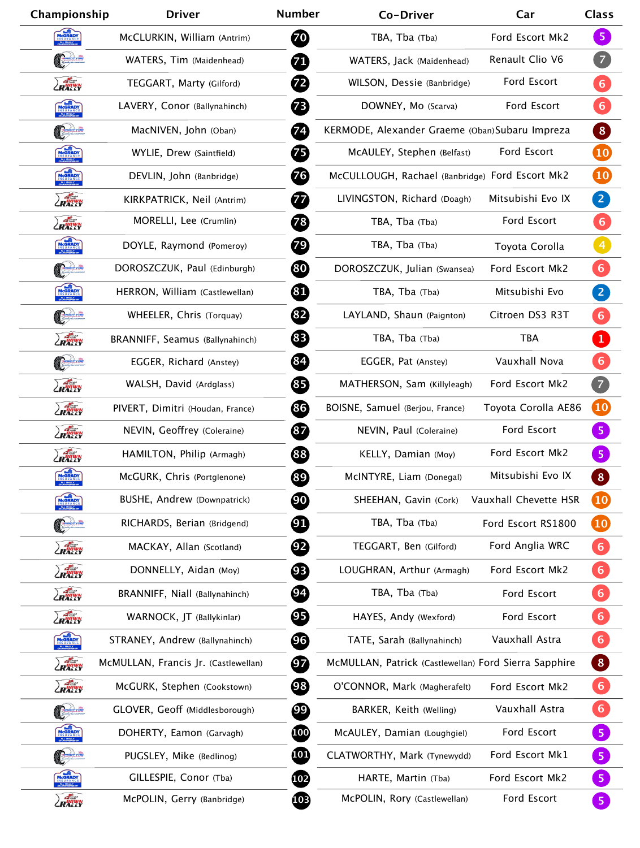| Championship  | <b>Driver</b>                        | <b>Number</b>            | Co-Driver                                             | Car                   | <b>Class</b>        |
|---------------|--------------------------------------|--------------------------|-------------------------------------------------------|-----------------------|---------------------|
| MCGRADY       | McCLURKIN, William (Antrim)          | 70                       | TBA, Tba (Tba)                                        | Ford Escort Mk2       | 5 <sup>1</sup>      |
|               | WATERS, Tim (Maidenhead)             | 71                       | WATERS, Jack (Maidenhead)                             | Renault Clio V6       | $\overline{7}$      |
| <b>ZRALLY</b> | TEGGART, Marty (Gilford)             | 72)                      | WILSON, Dessie (Banbridge)                            | Ford Escort           | 6)                  |
| MCGRADY       | LAVERY, Conor (Ballynahinch)         | 73                       | DOWNEY, Mo (Scarva)                                   | Ford Escort           | 6 <sup>1</sup>      |
| Course        | MacNIVEN, John (Oban)                | $\left( 74\right)$       | KERMODE, Alexander Graeme (Oban) Subaru Impreza       |                       | 8                   |
| MCGRADY       | WYLIE, Drew (Saintfield)             | 75                       | McAULEY, Stephen (Belfast)                            | Ford Escort           | 10                  |
| MCGRADY       | DEVLIN, John (Banbridge)             | 76                       | McCULLOUGH, Rachael (Banbridge) Ford Escort Mk2       |                       | $\bullet$           |
| ZRANWN        | KIRKPATRICK, Neil (Antrim)           | 77                       | LIVINGSTON, Richard (Doagh)                           | Mitsubishi Evo IX     | 2                   |
| ZRANNY        | MORELLI, Lee (Crumlin)               | 78                       | TBA, Tba (Tba)                                        | Ford Escort           | 6 <sup>1</sup>      |
| MCGRADY       | DOYLE, Raymond (Pomeroy)             | 79)                      | TBA, Tba (Tba)                                        | Toyota Corolla        | $\overline{4}$      |
| Code          | DOROSZCZUK, Paul (Edinburgh)         | 80                       | DOROSZCZUK, Julian (Swansea)                          | Ford Escort Mk2       | 6 <sup>1</sup>      |
| MCGRADY       | HERRON, William (Castlewellan)       | 81                       | TBA, Tba (Tba)                                        | Mitsubishi Evo        | $\boxed{2}$         |
|               | WHEELER, Chris (Torquay)             | 82)                      | LAYLAND, Shaun (Paignton)                             | Citroen DS3 R3T       | 6 <sup>1</sup>      |
| ZRAHIVN       | BRANNIFF, Seamus (Ballynahinch)      | (83)                     | TBA, Tba (Tba)                                        | <b>TBA</b>            | $\mathbf{1}$        |
|               | EGGER, Richard (Anstey)              | 84                       | EGGER, Pat (Anstey)                                   | Vauxhall Nova         | 6 <sup>1</sup>      |
| RAGWN         | WALSH, David (Ardglass)              | 85                       | MATHERSON, Sam (Killyleagh)                           | Ford Escort Mk2       | 7                   |
| ZRAGWN        | PIVERT, Dimitri (Houdan, France)     | 86                       | BOISNE, Samuel (Berjou, France)                       | Toyota Corolla AE86   | $\overline{10}$     |
| ZRANNY        | NEVIN, Geoffrey (Coleraine)          | 87                       | NEVIN, Paul (Coleraine)                               | Ford Escort           | 5 <sub>1</sub>      |
| PATTER        | HAMILTON, Philip (Armagh)            | 88                       | KELLY, Damian (Moy)                                   | Ford Escort Mk2       | $\vert 5 \vert$     |
| MCGRADY       | McGURK, Chris (Portglenone)          | 89                       | McINTYRE, Liam (Donegal)                              | Mitsubishi Evo IX     | $\boxed{8}$         |
| MCGRADY       | BUSHE, Andrew (Downpatrick)          | $\boldsymbol{90}$        | SHEEHAN, Gavin (Cork)                                 | Vauxhall Chevette HSR | $\overline{10}$     |
|               | RICHARDS, Berian (Bridgend)          | 91                       | TBA, Tba (Tba)                                        | Ford Escort RS1800    | $\overline{10}$     |
| ZRAGUN        | MACKAY, Allan (Scotland)             | $\overline{2}$           | TEGGART, Ben (Gilford)                                | Ford Anglia WRC       | 6 <sup>1</sup>      |
| ZRAGUN        | DONNELLY, Aidan (Moy)                | 93                       | LOUGHRAN, Arthur (Armagh)                             | Ford Escort Mk2       | $\vert 6 \vert$     |
| ZRAGIVN       | BRANNIFF, Niall (Ballynahinch)       | $\bm{94}$                | TBA, Tba (Tba)                                        | Ford Escort           | $\vert 6 \vert$     |
| RANN          | WARNOCK, JT (Ballykinlar)            | 95                       | HAYES, Andy (Wexford)                                 | Ford Escort           | 6 <sup>1</sup>      |
| MCGRADY       | STRANEY, Andrew (Ballynahinch)       | 96                       | TATE, Sarah (Ballynahinch)                            | Vauxhall Astra        | $\boxed{6}$         |
| ZRAdwy        | McMULLAN, Francis Jr. (Castlewellan) | $\overline{\mathbf{97}}$ | McMULLAN, Patrick (Castlewellan) Ford Sierra Sapphire |                       | $\boxed{8}$         |
| ZRANN         | McGURK, Stephen (Cookstown)          | 98                       | O'CONNOR, Mark (Magherafelt)                          | Ford Escort Mk2       | $6 \nightharpoonup$ |
|               | GLOVER, Geoff (Middlesborough)       | $\left(99\right)$        | BARKER, Keith (Welling)                               | Vauxhall Astra        | 6 <sup>1</sup>      |
| MCGRADY       | DOHERTY, Eamon (Garvagh)             | 100                      | McAULEY, Damian (Loughgiel)                           | Ford Escort           | 5 <sub>o</sub>      |
|               | PUGSLEY, Mike (Bedlinog)             | <b>101</b>               | CLATWORTHY, Mark (Tynewydd)                           | Ford Escort Mk1       | 5 <sub>o</sub>      |
| MCGRADY       | GILLESPIE, Conor (Tba)               | 102                      | HARTE, Martin (Tba)                                   | Ford Escort Mk2       | 5 <sub>o</sub>      |
| <b>ZRANIK</b> | McPOLIN, Gerry (Banbridge)           | 103                      | McPOLIN, Rory (Castlewellan)                          | Ford Escort           | 5                   |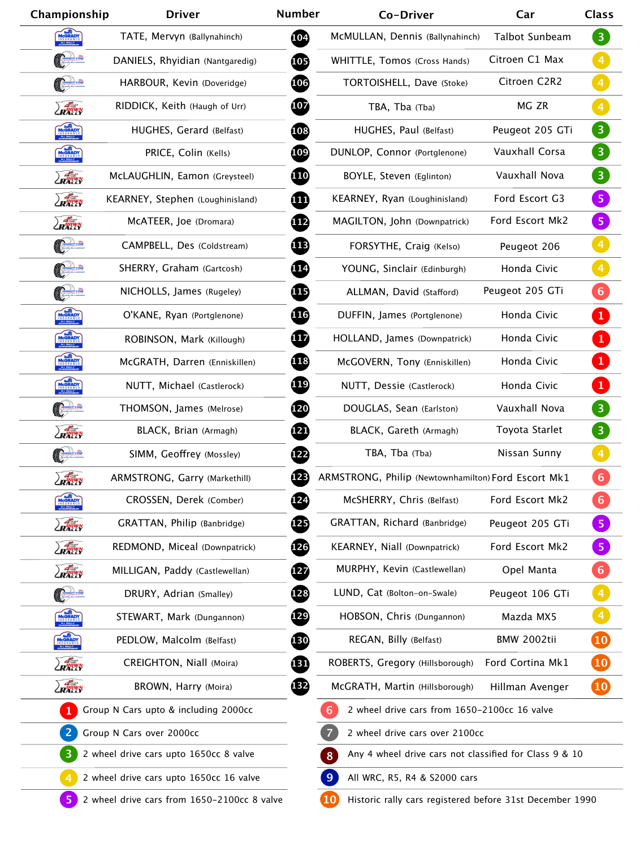| Championship                                                                                                       | <b>Driver</b>                                                                | <b>Number</b> | Co-Driver                                                                | Car                   | <b>Class</b>                      |  |
|--------------------------------------------------------------------------------------------------------------------|------------------------------------------------------------------------------|---------------|--------------------------------------------------------------------------|-----------------------|-----------------------------------|--|
| MCGRADY                                                                                                            | TATE, Mervyn (Ballynahinch)                                                  | 104           | McMULLAN, Dennis (Ballynahinch)                                          | <b>Talbot Sunbeam</b> | $\left(3\right)$                  |  |
|                                                                                                                    | DANIELS, Rhyidian (Nantgaredig)                                              | 105           | WHITTLE, Tomos (Cross Hands)                                             | Citroen C1 Max        | $\vert 4 \vert$                   |  |
|                                                                                                                    | HARBOUR, Kevin (Doveridge)                                                   | 106           | TORTOISHELL, Dave (Stoke)                                                | Citroen C2R2          | $\overline{4}$                    |  |
| ZRADWN                                                                                                             | RIDDICK, Keith (Haugh of Urr)                                                | 107           | TBA, Tba (Tba)                                                           | MG ZR                 | $\overline{4}$                    |  |
| MCGRADY                                                                                                            | HUGHES, Gerard (Belfast)                                                     | 108           | HUGHES, Paul (Belfast)                                                   | Peugeot 205 GTi       | $\overline{3}$                    |  |
| MCGRADY                                                                                                            | PRICE, Colin (Kells)                                                         | 109           | DUNLOP, Connor (Portglenone)                                             | Vauxhall Corsa        | 3 <sup>1</sup>                    |  |
| RAGWN                                                                                                              | McLAUGHLIN, Eamon (Greysteel)                                                | <b>110</b>    | BOYLE, Steven (Eglinton)                                                 | Vauxhall Nova         | $\boxed{3}$                       |  |
| ZRANNY                                                                                                             | KEARNEY, Stephen (Loughinisland)                                             | Œ             | KEARNEY, Ryan (Loughinisland)                                            | Ford Escort G3        | 5 <sub>o</sub>                    |  |
| ZRANN                                                                                                              | MCATEER, Joe (Dromara)                                                       | <u>112</u>    | MAGILTON, John (Downpatrick)                                             | Ford Escort Mk2       | 5 <sub>o</sub>                    |  |
|                                                                                                                    | CAMPBELL, Des (Coldstream)                                                   | 1 <b>B</b>    | FORSYTHE, Craig (Kelso)                                                  | Peugeot 206           | $\overline{4}$                    |  |
|                                                                                                                    | SHERRY, Graham (Gartcosh)                                                    | 114           | YOUNG, Sinclair (Edinburgh)                                              | Honda Civic           | $\left  \right $                  |  |
|                                                                                                                    | NICHOLLS, James (Rugeley)                                                    | 115           | ALLMAN, David (Stafford)                                                 | Peugeot 205 GTi       | $6 \overline{6}$                  |  |
| MCGRADY                                                                                                            | O'KANE, Ryan (Portglenone)                                                   | 116           | DUFFIN, James (Portglenone)                                              | Honda Civic           | $\ket{1}$                         |  |
| MCGRADY                                                                                                            | ROBINSON, Mark (Killough)                                                    | 117           | HOLLAND, James (Downpatrick)                                             | Honda Civic           | $\mathbf{1}$                      |  |
| MCGRADY                                                                                                            | McGRATH, Darren (Enniskillen)                                                | 118           | McGOVERN, Tony (Enniskillen)                                             | Honda Civic           | $\mathbf{1}$                      |  |
| MCGRADY                                                                                                            | NUTT, Michael (Castlerock)                                                   | 119           | NUTT, Dessie (Castlerock)                                                | Honda Civic           | $\mathbf{1}$                      |  |
| Court                                                                                                              | THOMSON, James (Melrose)                                                     | 120           | DOUGLAS, Sean (Earlston)                                                 | Vauxhall Nova         | $\overline{\mathbf{3}}$           |  |
| ZRANNY                                                                                                             | BLACK, Brian (Armagh)                                                        | <u>121</u>    | BLACK, Gareth (Armagh)                                                   | Toyota Starlet        | $\left(3\right)$                  |  |
| Corre                                                                                                              | SIMM, Geoffrey (Mossley)                                                     | 122           | TBA, Tba (Tba)                                                           | Nissan Sunny          | $\begin{bmatrix} 4 \end{bmatrix}$ |  |
| ZRAGWN                                                                                                             | ARMSTRONG, Garry (Markethill)                                                | 123           | ARMSTRONG, Philip (Newtownhamilton) Ford Escort Mk1                      |                       | 6 <sup>1</sup>                    |  |
| MCGRADY                                                                                                            | CROSSEN, Derek (Comber)                                                      | 124           | McSHERRY, Chris (Belfast)                                                | Ford Escort Mk2       | 6                                 |  |
| ZRANN                                                                                                              | GRATTAN, Philip (Banbridge)                                                  | 125           | GRATTAN, Richard (Banbridge)                                             | Peugeot 205 GTi       | 5 <sub>1</sub>                    |  |
| ZRAGWN                                                                                                             | REDMOND, Miceal (Downpatrick)                                                | 126           | KEARNEY, Niall (Downpatrick)                                             | Ford Escort Mk2       | $\sqrt{5}$                        |  |
| ZRAGUN                                                                                                             | MILLIGAN, Paddy (Castlewellan)                                               | 127           | MURPHY, Kevin (Castlewellan)                                             | Opel Manta            | $\vert 6 \vert$                   |  |
|                                                                                                                    | DRURY, Adrian (Smalley)                                                      | 128           | LUND, Cat (Bolton-on-Swale)                                              | Peugeot 106 GTi       | $\vert 4 \vert$                   |  |
| MCGRADY                                                                                                            | STEWART, Mark (Dungannon)                                                    | 129           | HOBSON, Chris (Dungannon)                                                | Mazda MX5             | $\begin{array}{c} 4 \end{array}$  |  |
| MCGRADY                                                                                                            | PEDLOW, Malcolm (Belfast)                                                    | 130           | REGAN, Billy (Belfast)                                                   | <b>BMW 2002tii</b>    | $\overline{\mathbf{10}}$          |  |
| ZRAGWN                                                                                                             | CREIGHTON, Niall (Moira)                                                     | 田             | ROBERTS, Gregory (Hillsborough)                                          | Ford Cortina Mk1      | $\overline{10}$                   |  |
| ZRAGUN                                                                                                             | BROWN, Harry (Moira)                                                         | 132           | McGRATH, Martin (Hillsborough)                                           | Hillman Avenger       | $\overline{10}$                   |  |
| Group N Cars upto & including 2000cc                                                                               |                                                                              |               | 6<br>2 wheel drive cars from 1650-2100cc 16 valve                        |                       |                                   |  |
| Group N Cars over 2000cc                                                                                           |                                                                              |               | $\overline{7}$<br>2 wheel drive cars over 2100cc                         |                       |                                   |  |
| $\overline{\mathbf{3}}$                                                                                            | 2 wheel drive cars upto 1650cc 8 valve                                       |               | Any 4 wheel drive cars not classified for Class 9 & 10<br>8 <sup>1</sup> |                       |                                   |  |
| $\overline{4}$                                                                                                     | 9<br>2 wheel drive cars upto 1650cc 16 valve<br>All WRC, R5, R4 & S2000 cars |               |                                                                          |                       |                                   |  |
| 10<br>5<br>2 wheel drive cars from 1650-2100cc 8 valve<br>Historic rally cars registered before 31st December 1990 |                                                                              |               |                                                                          |                       |                                   |  |